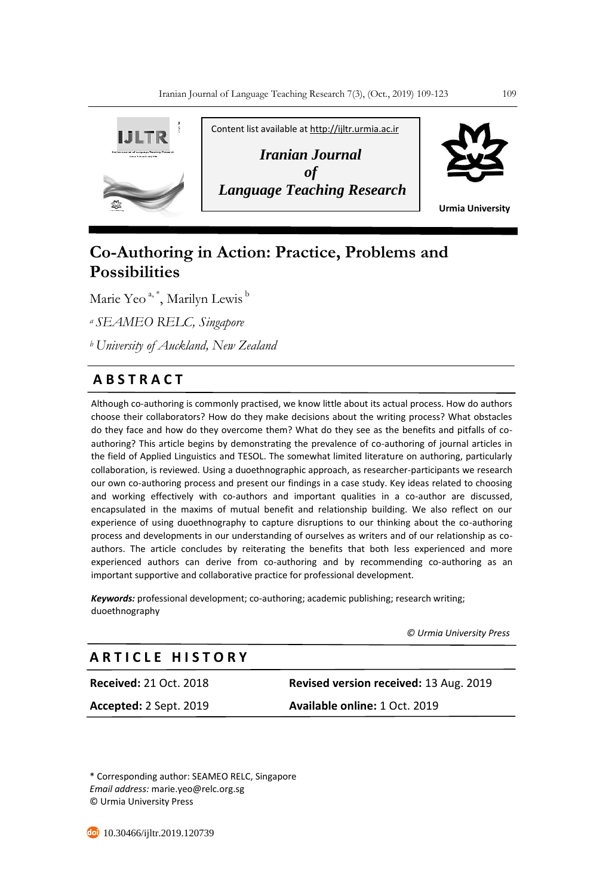

# **Co-Authoring in Action: Practice, Problems and Possibilities**

Marie Yeo <sup>a, \*</sup>, Marilyn Lewis <sup>b</sup>

*<sup>a</sup>SEAMEO RELC, Singapore* 

*<sup>b</sup>University of Auckland, New Zealand* 

# **A B S T R A C T**

Although co-authoring is commonly practised, we know little about its actual process. How do authors choose their collaborators? How do they make decisions about the writing process? What obstacles do they face and how do they overcome them? What do they see as the benefits and pitfalls of coauthoring? This article begins by demonstrating the prevalence of co-authoring of journal articles in the field of Applied Linguistics and TESOL. The somewhat limited literature on authoring, particularly collaboration, is reviewed. Using a duoethnographic approach, as researcher-participants we research our own co-authoring process and present our findings in a case study. Key ideas related to choosing and working effectively with co-authors and important qualities in a co-author are discussed, encapsulated in the maxims of mutual benefit and relationship building. We also reflect on our experience of using duoethnography to capture disruptions to our thinking about the co-authoring process and developments in our understanding of ourselves as writers and of our relationship as coauthors. The article concludes by reiterating the benefits that both less experienced and more experienced authors can derive from co-authoring and by recommending co-authoring as an important supportive and collaborative practice for professional development.

*Keywords:* professional development; co-authoring; academic publishing; research writing; duoethnography

 *© Urmia University Press*

# **A R T I C L E H I S T O R Y**

**Received:** 21 Oct. 2018 **Revised version received:** 13 Aug. 2019 **Accepted:** 2 Sept. 2019 **Available online:** 1 Oct. 2019

\* Corresponding author: SEAMEO RELC, Singapore *Email address:* marie.yeo@relc.org.sg © Urmia University Press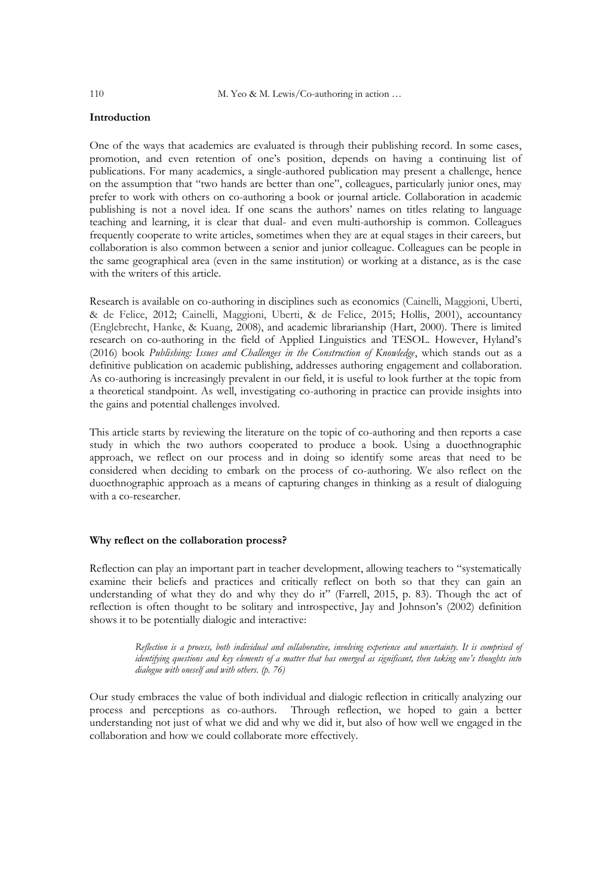# **Introduction**

One of the ways that academics are evaluated is through their publishing record. In some cases, promotion, and even retention of one's position, depends on having a continuing list of publications. For many academics, a single-authored publication may present a challenge, hence on the assumption that "two hands are better than one", colleagues, particularly junior ones, may prefer to work with others on co-authoring a book or journal article. Collaboration in academic publishing is not a novel idea. If one scans the authors' names on titles relating to language teaching and learning, it is clear that dual- and even multi-authorship is common. Colleagues frequently cooperate to write articles, sometimes when they are at equal stages in their careers, but collaboration is also common between a senior and junior colleague. Colleagues can be people in the same geographical area (even in the same institution) or working at a distance, as is the case with the writers of this article.

Research is available on co-authoring in disciplines such as economics (Cainelli, Maggioni, Uberti, & de Felice, 2012; Cainelli, Maggioni, Uberti, & de Felice, 2015; Hollis, 2001), accountancy (Englebrecht, Hanke, & Kuang, 2008), and academic librarianship (Hart, 2000). There is limited research on co-authoring in the field of Applied Linguistics and TESOL. However, Hyland's (2016) book *Publishing: Issues and Challenges in the Construction of Knowledge*, which stands out as a definitive publication on academic publishing, addresses authoring engagement and collaboration. As co-authoring is increasingly prevalent in our field, it is useful to look further at the topic from a theoretical standpoint. As well, investigating co-authoring in practice can provide insights into the gains and potential challenges involved.

This article starts by reviewing the literature on the topic of co-authoring and then reports a case study in which the two authors cooperated to produce a book. Using a duoethnographic approach, we reflect on our process and in doing so identify some areas that need to be considered when deciding to embark on the process of co-authoring. We also reflect on the duoethnographic approach as a means of capturing changes in thinking as a result of dialoguing with a co-researcher.

#### **Why reflect on the collaboration process?**

Reflection can play an important part in teacher development, allowing teachers to "systematically examine their beliefs and practices and critically reflect on both so that they can gain an understanding of what they do and why they do it" (Farrell, 2015, p. 83). Though the act of reflection is often thought to be solitary and introspective, Jay and Johnson's (2002) definition shows it to be potentially dialogic and interactive:

> *Reflection is a process, both individual and collaborative, involving experience and uncertainty. It is comprised of identifying questions and key elements of a matter that has emerged as significant, then taking one's thoughts into dialogue with oneself and with others. (p. 76)*

Our study embraces the value of both individual and dialogic reflection in critically analyzing our process and perceptions as co-authors. Through reflection, we hoped to gain a better understanding not just of what we did and why we did it, but also of how well we engaged in the collaboration and how we could collaborate more effectively.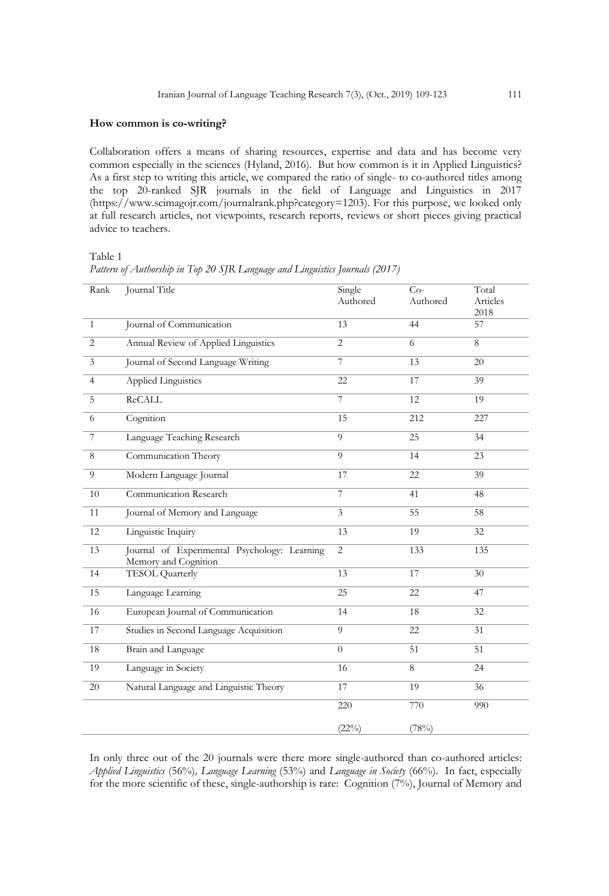#### **How common is co-writing?**

Collaboration offers a means of sharing resources, expertise and data and has become very common especially in the sciences (Hyland, 2016). But how common is it in Applied Linguistics? As a first step to writing this article, we compared the ratio of single- to co-authored titles among the top 20-ranked SJR journals in the field of Language and Linguistics in 2017 (https://www.scimagojr.com/journalrank.php?category=1203). For this purpose, we looked only at full research articles, not viewpoints, research reports, reviews or short pieces giving practical advice to teachers.

Table 1

| Rank            | <b>Journal Title</b>                                                 | Single<br>Authored | $Co-$<br>Authored | Total<br>Articles<br>2018 |
|-----------------|----------------------------------------------------------------------|--------------------|-------------------|---------------------------|
| $\mathbf{1}$    | Journal of Communication                                             | 13                 | 44                | 57                        |
| $\overline{2}$  | Annual Review of Applied Linguistics                                 | $\overline{2}$     | 6                 | 8                         |
| $\mathfrak{Z}$  | Journal of Second Language Writing                                   | 7                  | 13                | 20                        |
| $\overline{4}$  | Applied Linguistics                                                  | 22                 | 17                | 39                        |
| 5               | <b>ReCALL</b>                                                        | 7                  | 12                | 19                        |
| 6               | Cognition                                                            | 15                 | 212               | 227                       |
| $\overline{7}$  | Language Teaching Research                                           | $\overline{9}$     | $\overline{25}$   | 34                        |
| 8               | Communication Theory                                                 | $\overline{9}$     | 14                | 23                        |
| $\overline{9}$  | Modern Language Journal                                              | $\overline{17}$    | 22                | 39                        |
| 10              | Communication Research                                               | $\overline{7}$     | 41                | 48                        |
| 11              | Journal of Memory and Language                                       | $\overline{3}$     | 55                | 58                        |
| 12              | Linguistic Inquiry                                                   | 13                 | 19                | 32                        |
| 13              | Journal of Experimental Psychology: Learning<br>Memory and Cognition | $\overline{c}$     | 133               | 135                       |
| 14              | <b>TESOL</b> Quarterly                                               | 13                 | 17                | 30                        |
| 15              | Language Learning                                                    | 25                 | 22                | 47                        |
| $\overline{16}$ | European Journal of Communication                                    | 14                 | 18                | 32                        |
| 17              | Studies in Second Language Acquisition                               | 9                  | 22                | 31                        |
| 18              | Brain and Language                                                   | $\theta$           | 51                | 51                        |
| 19              | Language in Society                                                  | 16                 | 8                 | 24                        |
| 20              | Natural Language and Linguistic Theory                               | 17                 | 19                | 36                        |
|                 |                                                                      | 220                | 770               | 990                       |
|                 |                                                                      | $(22\%)$           | (78%)             |                           |

*Pattern of Authorship in Top 20 SJR Language and Linguistics Journals (2017)*

In only three out of the 20 journals were there more single-authored than co-authored articles: *Applied Linguistics* (56%)*, Language Learning* (53%) and *Language in Society* (66%). In fact, especially for the more scientific of these, single-authorship is rare: Cognition (7%), Journal of Memory and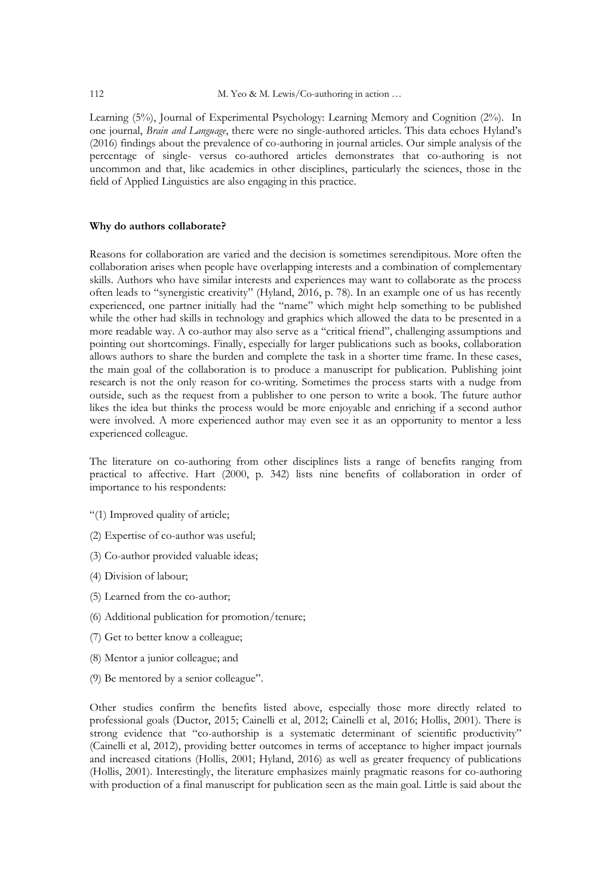Learning (5%), Journal of Experimental Psychology: Learning Memory and Cognition (2%). In one journal, *Brain and Language*, there were no single-authored articles. This data echoes Hyland's (2016) findings about the prevalence of co-authoring in journal articles. Our simple analysis of the percentage of single- versus co-authored articles demonstrates that co-authoring is not uncommon and that, like academics in other disciplines, particularly the sciences, those in the field of Applied Linguistics are also engaging in this practice.

### **Why do authors collaborate?**

Reasons for collaboration are varied and the decision is sometimes serendipitous. More often the collaboration arises when people have overlapping interests and a combination of complementary skills. Authors who have similar interests and experiences may want to collaborate as the process often leads to "synergistic creativity" (Hyland, 2016, p. 78). In an example one of us has recently experienced, one partner initially had the "name" which might help something to be published while the other had skills in technology and graphics which allowed the data to be presented in a more readable way. A co-author may also serve as a "critical friend", challenging assumptions and pointing out shortcomings. Finally, especially for larger publications such as books, collaboration allows authors to share the burden and complete the task in a shorter time frame. In these cases, the main goal of the collaboration is to produce a manuscript for publication. Publishing joint research is not the only reason for co-writing. Sometimes the process starts with a nudge from outside, such as the request from a publisher to one person to write a book. The future author likes the idea but thinks the process would be more enjoyable and enriching if a second author were involved. A more experienced author may even see it as an opportunity to mentor a less experienced colleague.

The literature on co-authoring from other disciplines lists a range of benefits ranging from practical to affective. Hart (2000, p. 342) lists nine benefits of collaboration in order of importance to his respondents:

- "(1) Improved quality of article;
- (2) Expertise of co-author was useful;
- (3) Co-author provided valuable ideas;
- (4) Division of labour;
- (5) Learned from the co-author;
- (6) Additional publication for promotion/tenure;
- (7) Get to better know a colleague;
- (8) Mentor a junior colleague; and
- (9) Be mentored by a senior colleague".

Other studies confirm the benefits listed above, especially those more directly related to professional goals (Ductor, 2015; Cainelli et al, 2012; Cainelli et al, 2016; Hollis, 2001). There is strong evidence that "co-authorship is a systematic determinant of scientific productivity" (Cainelli et al, 2012), providing better outcomes in terms of acceptance to higher impact journals and increased citations (Hollis, 2001; Hyland, 2016) as well as greater frequency of publications (Hollis, 2001). Interestingly, the literature emphasizes mainly pragmatic reasons for co-authoring with production of a final manuscript for publication seen as the main goal. Little is said about the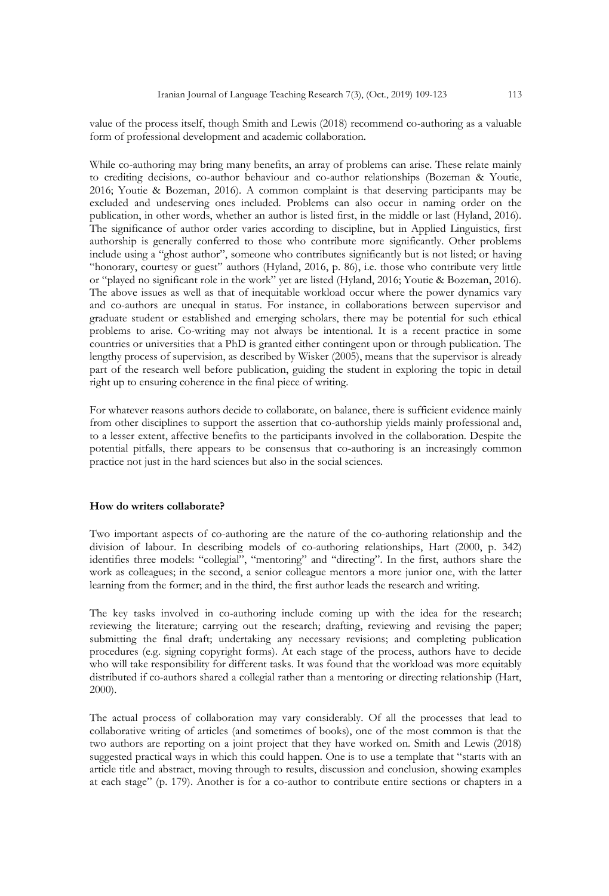value of the process itself, though Smith and Lewis (2018) recommend co-authoring as a valuable form of professional development and academic collaboration.

While co-authoring may bring many benefits, an array of problems can arise. These relate mainly to crediting decisions, co-author behaviour and co-author relationships (Bozeman & Youtie, 2016; Youtie & Bozeman, 2016). A common complaint is that deserving participants may be excluded and undeserving ones included. Problems can also occur in naming order on the publication, in other words, whether an author is listed first, in the middle or last (Hyland, 2016). The significance of author order varies according to discipline, but in Applied Linguistics, first authorship is generally conferred to those who contribute more significantly. Other problems include using a "ghost author", someone who contributes significantly but is not listed; or having "honorary, courtesy or guest" authors (Hyland, 2016, p. 86), i.e. those who contribute very little or "played no significant role in the work" yet are listed (Hyland, 2016; Youtie & Bozeman, 2016). The above issues as well as that of inequitable workload occur where the power dynamics vary and co-authors are unequal in status. For instance, in collaborations between supervisor and graduate student or established and emerging scholars, there may be potential for such ethical problems to arise. Co-writing may not always be intentional. It is a recent practice in some countries or universities that a PhD is granted either contingent upon or through publication. The lengthy process of supervision, as described by Wisker (2005), means that the supervisor is already part of the research well before publication, guiding the student in exploring the topic in detail right up to ensuring coherence in the final piece of writing.

For whatever reasons authors decide to collaborate, on balance, there is sufficient evidence mainly from other disciplines to support the assertion that co-authorship yields mainly professional and, to a lesser extent, affective benefits to the participants involved in the collaboration. Despite the potential pitfalls, there appears to be consensus that co-authoring is an increasingly common practice not just in the hard sciences but also in the social sciences.

#### **How do writers collaborate?**

Two important aspects of co-authoring are the nature of the co-authoring relationship and the division of labour. In describing models of co-authoring relationships, Hart (2000, p. 342) identifies three models: "collegial", "mentoring" and "directing". In the first, authors share the work as colleagues; in the second, a senior colleague mentors a more junior one, with the latter learning from the former; and in the third, the first author leads the research and writing.

The key tasks involved in co-authoring include coming up with the idea for the research; reviewing the literature; carrying out the research; drafting, reviewing and revising the paper; submitting the final draft; undertaking any necessary revisions; and completing publication procedures (e.g. signing copyright forms). At each stage of the process, authors have to decide who will take responsibility for different tasks. It was found that the workload was more equitably distributed if co-authors shared a collegial rather than a mentoring or directing relationship (Hart, 2000).

The actual process of collaboration may vary considerably. Of all the processes that lead to collaborative writing of articles (and sometimes of books), one of the most common is that the two authors are reporting on a joint project that they have worked on. Smith and Lewis (2018) suggested practical ways in which this could happen. One is to use a template that "starts with an article title and abstract, moving through to results, discussion and conclusion, showing examples at each stage" (p. 179). Another is for a co-author to contribute entire sections or chapters in a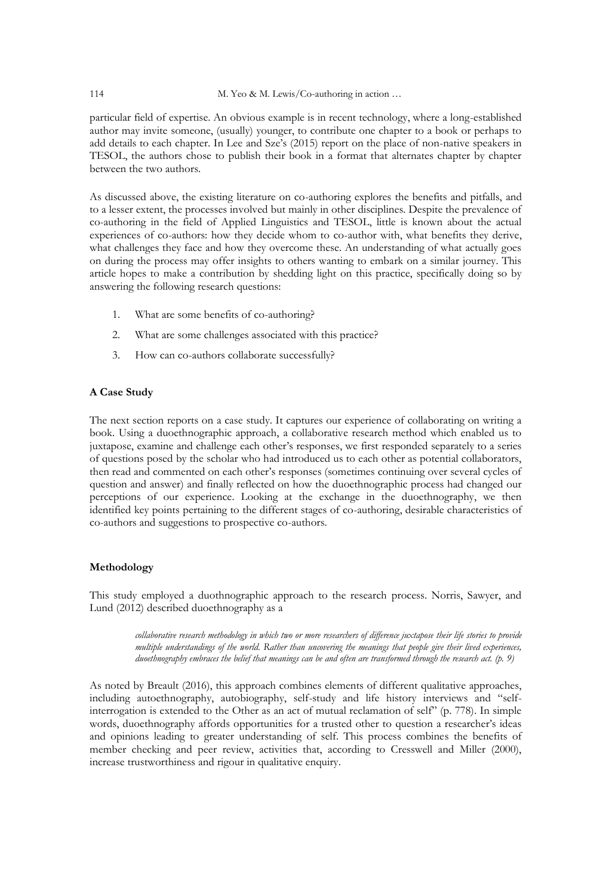#### 114 M. Yeo & M. Lewis/Co-authoring in action ...

particular field of expertise. An obvious example is in recent technology, where a long-established author may invite someone, (usually) younger, to contribute one chapter to a book or perhaps to add details to each chapter. In Lee and Sze's (2015) report on the place of non-native speakers in TESOL, the authors chose to publish their book in a format that alternates chapter by chapter between the two authors.

As discussed above, the existing literature on co-authoring explores the benefits and pitfalls, and to a lesser extent, the processes involved but mainly in other disciplines. Despite the prevalence of co-authoring in the field of Applied Linguistics and TESOL, little is known about the actual experiences of co-authors: how they decide whom to co-author with, what benefits they derive, what challenges they face and how they overcome these. An understanding of what actually goes on during the process may offer insights to others wanting to embark on a similar journey. This article hopes to make a contribution by shedding light on this practice, specifically doing so by answering the following research questions:

- 1. What are some benefits of co-authoring?
- 2. What are some challenges associated with this practice?
- 3. How can co-authors collaborate successfully?

# **A Case Study**

The next section reports on a case study. It captures our experience of collaborating on writing a book. Using a duoethnographic approach, a collaborative research method which enabled us to juxtapose, examine and challenge each other's responses, we first responded separately to a series of questions posed by the scholar who had introduced us to each other as potential collaborators, then read and commented on each other's responses (sometimes continuing over several cycles of question and answer) and finally reflected on how the duoethnographic process had changed our perceptions of our experience. Looking at the exchange in the duoethnography, we then identified key points pertaining to the different stages of co-authoring, desirable characteristics of co-authors and suggestions to prospective co-authors.

# **Methodology**

This study employed a duothnographic approach to the research process. Norris, Sawyer, and Lund (2012) described duoethnography as a

> *collaborative research methodology in which two or more researchers of difference juxtapose their life stories to provide multiple understandings of the world. Rather than uncovering the meanings that people give their lived experiences, duoethnography embraces the belief that meanings can be and often are transformed through the research act. (p. 9)*

As noted by Breault (2016), this approach combines elements of different qualitative approaches, including autoethnography, autobiography, self-study and life history interviews and "selfinterrogation is extended to the Other as an act of mutual reclamation of self" (p. 778). In simple words, duoethnography affords opportunities for a trusted other to question a researcher's ideas and opinions leading to greater understanding of self. This process combines the benefits of member checking and peer review, activities that, according to Cresswell and Miller (2000), increase trustworthiness and rigour in qualitative enquiry.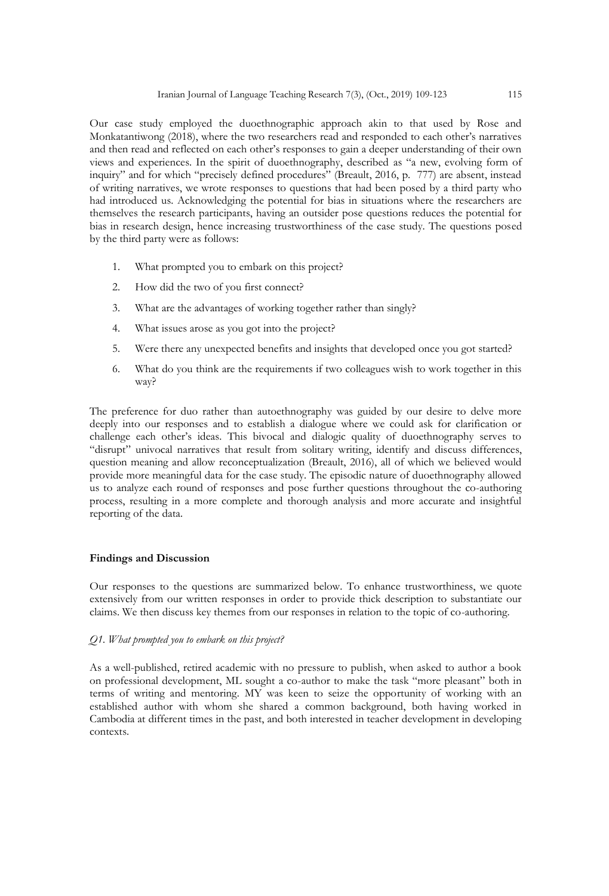Our case study employed the duoethnographic approach akin to that used by Rose and Monkatantiwong (2018), where the two researchers read and responded to each other's narratives and then read and reflected on each other's responses to gain a deeper understanding of their own views and experiences. In the spirit of duoethnography, described as "a new, evolving form of inquiry" and for which "precisely defined procedures" (Breault, 2016, p. 777) are absent, instead of writing narratives, we wrote responses to questions that had been posed by a third party who had introduced us. Acknowledging the potential for bias in situations where the researchers are themselves the research participants, having an outsider pose questions reduces the potential for bias in research design, hence increasing trustworthiness of the case study. The questions posed by the third party were as follows:

- 1. What prompted you to embark on this project?
- 2. How did the two of you first connect?
- 3. What are the advantages of working together rather than singly?
- 4. What issues arose as you got into the project?
- 5. Were there any unexpected benefits and insights that developed once you got started?
- 6. What do you think are the requirements if two colleagues wish to work together in this way?

The preference for duo rather than autoethnography was guided by our desire to delve more deeply into our responses and to establish a dialogue where we could ask for clarification or challenge each other's ideas. This bivocal and dialogic quality of duoethnography serves to "disrupt" univocal narratives that result from solitary writing, identify and discuss differences, question meaning and allow reconceptualization (Breault, 2016), all of which we believed would provide more meaningful data for the case study. The episodic nature of duoethnography allowed us to analyze each round of responses and pose further questions throughout the co-authoring process, resulting in a more complete and thorough analysis and more accurate and insightful reporting of the data.

#### **Findings and Discussion**

Our responses to the questions are summarized below. To enhance trustworthiness, we quote extensively from our written responses in order to provide thick description to substantiate our claims. We then discuss key themes from our responses in relation to the topic of co-authoring.

#### *Q1. What prompted you to embark on this project?*

As a well-published, retired academic with no pressure to publish, when asked to author a book on professional development, ML sought a co-author to make the task "more pleasant" both in terms of writing and mentoring. MY was keen to seize the opportunity of working with an established author with whom she shared a common background, both having worked in Cambodia at different times in the past, and both interested in teacher development in developing contexts.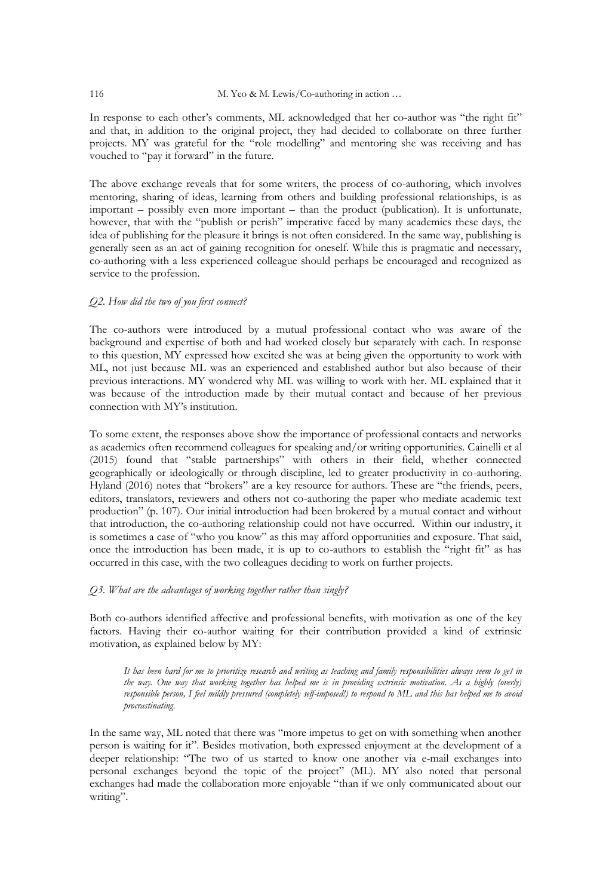#### 116 M. Yeo & M. Lewis/Co-authoring in action ...

In response to each other's comments, ML acknowledged that her co-author was "the right fit" and that, in addition to the original project, they had decided to collaborate on three further projects. MY was grateful for the "role modelling" and mentoring she was receiving and has vouched to "pay it forward" in the future.

The above exchange reveals that for some writers, the process of co-authoring, which involves mentoring, sharing of ideas, learning from others and building professional relationships, is as important – possibly even more important – than the product (publication). It is unfortunate, however, that with the "publish or perish" imperative faced by many academics these days, the idea of publishing for the pleasure it brings is not often considered. In the same way, publishing is generally seen as an act of gaining recognition for oneself. While this is pragmatic and necessary, co-authoring with a less experienced colleague should perhaps be encouraged and recognized as service to the profession.

#### *Q2. How did the two of you first connect?*

The co-authors were introduced by a mutual professional contact who was aware of the background and expertise of both and had worked closely but separately with each. In response to this question, MY expressed how excited she was at being given the opportunity to work with ML, not just because ML was an experienced and established author but also because of their previous interactions. MY wondered why ML was willing to work with her. ML explained that it was because of the introduction made by their mutual contact and because of her previous connection with MY's institution.

To some extent, the responses above show the importance of professional contacts and networks as academics often recommend colleagues for speaking and/or writing opportunities. Cainelli et al (2015) found that "stable partnerships" with others in their field, whether connected geographically or ideologically or through discipline, led to greater productivity in co-authoring. Hyland (2016) notes that "brokers" are a key resource for authors. These are "the friends, peers, editors, translators, reviewers and others not co-authoring the paper who mediate academic text production" (p. 107). Our initial introduction had been brokered by a mutual contact and without that introduction, the co-authoring relationship could not have occurred. Within our industry, it is sometimes a case of "who you know" as this may afford opportunities and exposure. That said, once the introduction has been made, it is up to co-authors to establish the "right fit" as has occurred in this case, with the two colleagues deciding to work on further projects.

#### *Q3. What are the advantages of working together rather than singly?*

Both co-authors identified affective and professional benefits, with motivation as one of the key factors. Having their co-author waiting for their contribution provided a kind of extrinsic motivation, as explained below by MY:

*It has been hard for me to prioritize research and writing as teaching and family responsibilities always seem to get in the way. One way that working together has helped me is in providing extrinsic motivation. As a highly (overly) responsible person, I feel mildly pressured (completely self-imposed!) to respond to ML and this has helped me to avoid procrastinating.* 

In the same way, ML noted that there was "more impetus to get on with something when another person is waiting for it". Besides motivation, both expressed enjoyment at the development of a deeper relationship: "The two of us started to know one another via e-mail exchanges into personal exchanges beyond the topic of the project" (ML). MY also noted that personal exchanges had made the collaboration more enjoyable "than if we only communicated about our writing".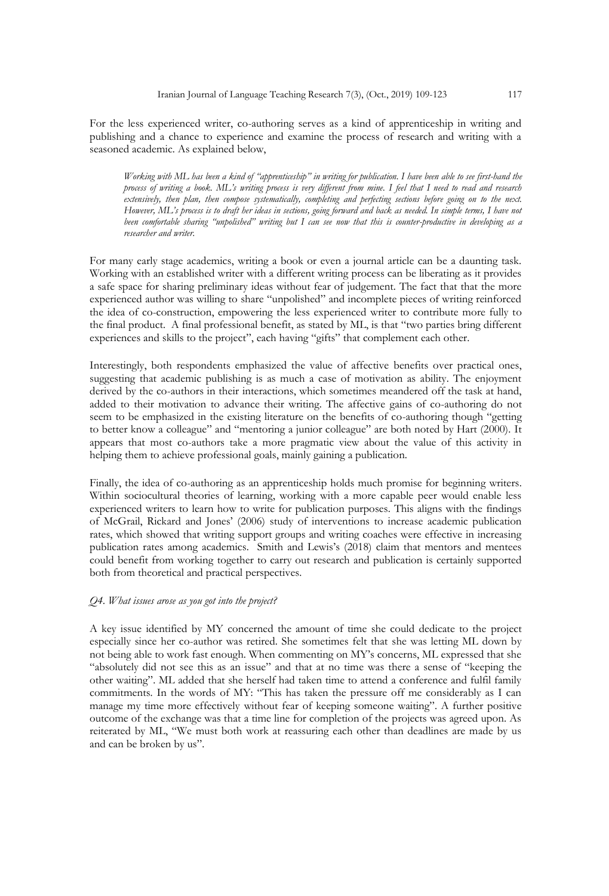For the less experienced writer, co-authoring serves as a kind of apprenticeship in writing and publishing and a chance to experience and examine the process of research and writing with a seasoned academic. As explained below,

*Working with ML has been a kind of "apprenticeship" in writing for publication. I have been able to see first-hand the process of writing a book. ML's writing process is very different from mine. I feel that I need to read and research*  extensively, then plan, then compose systematically, completing and perfecting sections before going on to the next. *However, ML's process is to draft her ideas in sections, going forward and back as needed. In simple terms, I have not been comfortable sharing "unpolished" writing but I can see now that this is counter-productive in developing as a researcher and writer.*

For many early stage academics, writing a book or even a journal article can be a daunting task. Working with an established writer with a different writing process can be liberating as it provides a safe space for sharing preliminary ideas without fear of judgement. The fact that that the more experienced author was willing to share "unpolished" and incomplete pieces of writing reinforced the idea of co-construction, empowering the less experienced writer to contribute more fully to the final product. A final professional benefit, as stated by ML, is that "two parties bring different experiences and skills to the project", each having "gifts" that complement each other.

Interestingly, both respondents emphasized the value of affective benefits over practical ones, suggesting that academic publishing is as much a case of motivation as ability. The enjoyment derived by the co-authors in their interactions, which sometimes meandered off the task at hand, added to their motivation to advance their writing. The affective gains of co-authoring do not seem to be emphasized in the existing literature on the benefits of co-authoring though "getting to better know a colleague" and "mentoring a junior colleague" are both noted by Hart (2000). It appears that most co-authors take a more pragmatic view about the value of this activity in helping them to achieve professional goals, mainly gaining a publication.

Finally, the idea of co-authoring as an apprenticeship holds much promise for beginning writers. Within sociocultural theories of learning, working with a more capable peer would enable less experienced writers to learn how to write for publication purposes. This aligns with the findings of McGrail, Rickard and Jones' (2006) study of interventions to increase academic publication rates, which showed that writing support groups and writing coaches were effective in increasing publication rates among academics. Smith and Lewis's (2018) claim that mentors and mentees could benefit from working together to carry out research and publication is certainly supported both from theoretical and practical perspectives.

#### *Q4. What issues arose as you got into the project?*

A key issue identified by MY concerned the amount of time she could dedicate to the project especially since her co-author was retired. She sometimes felt that she was letting ML down by not being able to work fast enough. When commenting on MY's concerns, ML expressed that she "absolutely did not see this as an issue" and that at no time was there a sense of "keeping the other waiting". ML added that she herself had taken time to attend a conference and fulfil family commitments. In the words of MY: "This has taken the pressure off me considerably as I can manage my time more effectively without fear of keeping someone waiting". A further positive outcome of the exchange was that a time line for completion of the projects was agreed upon. As reiterated by ML, "We must both work at reassuring each other than deadlines are made by us and can be broken by us".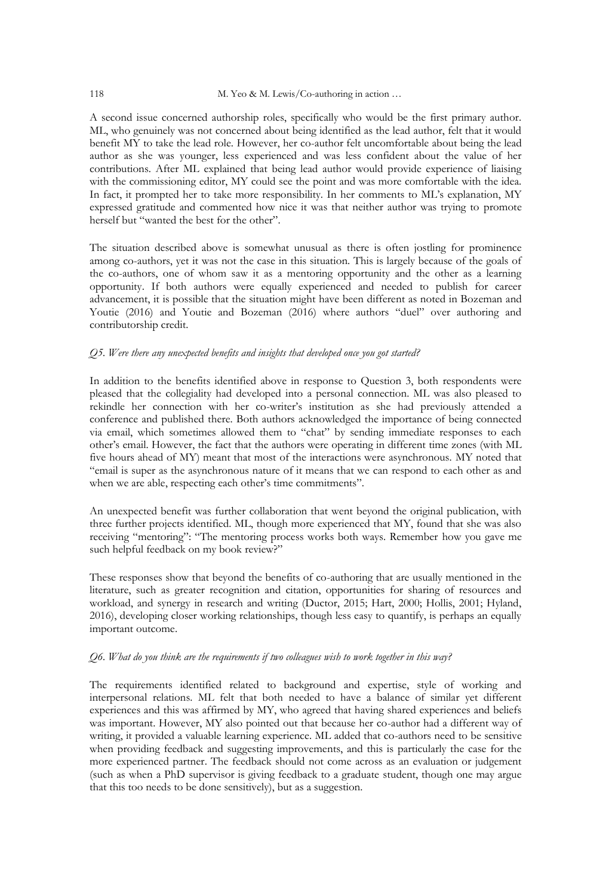#### 118 M. Yeo & M. Lewis/Co-authoring in action ...

A second issue concerned authorship roles, specifically who would be the first primary author. ML, who genuinely was not concerned about being identified as the lead author, felt that it would benefit MY to take the lead role. However, her co-author felt uncomfortable about being the lead author as she was younger, less experienced and was less confident about the value of her contributions. After ML explained that being lead author would provide experience of liaising with the commissioning editor, MY could see the point and was more comfortable with the idea. In fact, it prompted her to take more responsibility. In her comments to ML's explanation, MY expressed gratitude and commented how nice it was that neither author was trying to promote herself but "wanted the best for the other".

The situation described above is somewhat unusual as there is often jostling for prominence among co-authors, yet it was not the case in this situation. This is largely because of the goals of the co-authors, one of whom saw it as a mentoring opportunity and the other as a learning opportunity. If both authors were equally experienced and needed to publish for career advancement, it is possible that the situation might have been different as noted in Bozeman and Youtie (2016) and Youtie and Bozeman (2016) where authors "duel" over authoring and contributorship credit.

# *Q5. Were there any unexpected benefits and insights that developed once you got started?*

In addition to the benefits identified above in response to Question 3, both respondents were pleased that the collegiality had developed into a personal connection. ML was also pleased to rekindle her connection with her co-writer's institution as she had previously attended a conference and published there. Both authors acknowledged the importance of being connected via email, which sometimes allowed them to "chat" by sending immediate responses to each other's email. However, the fact that the authors were operating in different time zones (with ML five hours ahead of MY) meant that most of the interactions were asynchronous. MY noted that "email is super as the asynchronous nature of it means that we can respond to each other as and when we are able, respecting each other's time commitments".

An unexpected benefit was further collaboration that went beyond the original publication, with three further projects identified. ML, though more experienced that MY, found that she was also receiving "mentoring": "The mentoring process works both ways. Remember how you gave me such helpful feedback on my book review?"

These responses show that beyond the benefits of co-authoring that are usually mentioned in the literature, such as greater recognition and citation, opportunities for sharing of resources and workload, and synergy in research and writing (Ductor, 2015; Hart, 2000; Hollis, 2001; Hyland, 2016), developing closer working relationships, though less easy to quantify, is perhaps an equally important outcome.

#### *Q6. What do you think are the requirements if two colleagues wish to work together in this way?*

The requirements identified related to background and expertise, style of working and interpersonal relations. ML felt that both needed to have a balance of similar yet different experiences and this was affirmed by MY, who agreed that having shared experiences and beliefs was important. However, MY also pointed out that because her co-author had a different way of writing, it provided a valuable learning experience. ML added that co-authors need to be sensitive when providing feedback and suggesting improvements, and this is particularly the case for the more experienced partner. The feedback should not come across as an evaluation or judgement (such as when a PhD supervisor is giving feedback to a graduate student, though one may argue that this too needs to be done sensitively), but as a suggestion.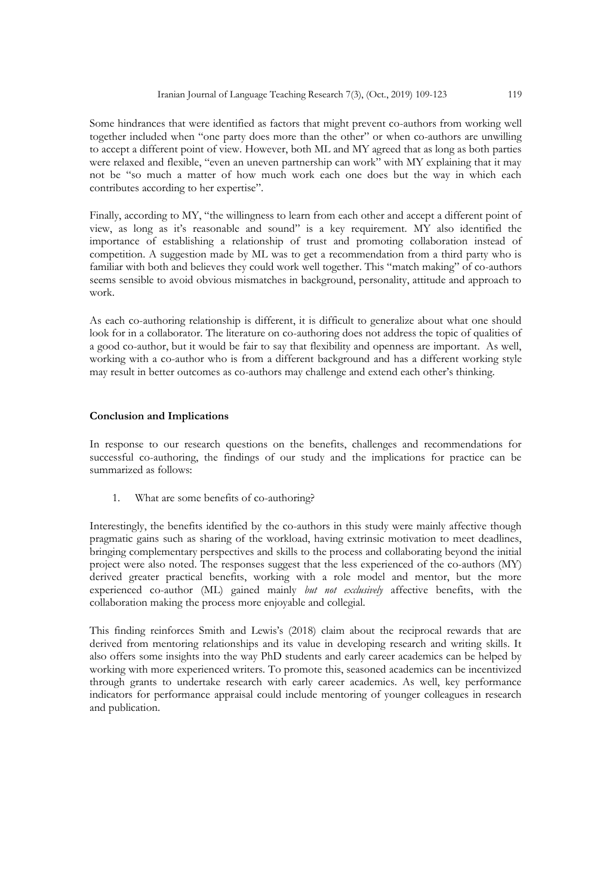Some hindrances that were identified as factors that might prevent co-authors from working well together included when "one party does more than the other" or when co-authors are unwilling to accept a different point of view. However, both ML and MY agreed that as long as both parties were relaxed and flexible, "even an uneven partnership can work" with MY explaining that it may not be "so much a matter of how much work each one does but the way in which each contributes according to her expertise".

Finally, according to MY, "the willingness to learn from each other and accept a different point of view, as long as it's reasonable and sound" is a key requirement. MY also identified the importance of establishing a relationship of trust and promoting collaboration instead of competition. A suggestion made by ML was to get a recommendation from a third party who is familiar with both and believes they could work well together. This "match making" of co-authors seems sensible to avoid obvious mismatches in background, personality, attitude and approach to work.

As each co-authoring relationship is different, it is difficult to generalize about what one should look for in a collaborator. The literature on co-authoring does not address the topic of qualities of a good co-author, but it would be fair to say that flexibility and openness are important. As well, working with a co-author who is from a different background and has a different working style may result in better outcomes as co-authors may challenge and extend each other's thinking.

#### **Conclusion and Implications**

In response to our research questions on the benefits, challenges and recommendations for successful co-authoring, the findings of our study and the implications for practice can be summarized as follows:

1. What are some benefits of co-authoring?

Interestingly, the benefits identified by the co-authors in this study were mainly affective though pragmatic gains such as sharing of the workload, having extrinsic motivation to meet deadlines, bringing complementary perspectives and skills to the process and collaborating beyond the initial project were also noted. The responses suggest that the less experienced of the co-authors (MY) derived greater practical benefits, working with a role model and mentor, but the more experienced co-author (ML) gained mainly *but not exclusively* affective benefits, with the collaboration making the process more enjoyable and collegial.

This finding reinforces Smith and Lewis's (2018) claim about the reciprocal rewards that are derived from mentoring relationships and its value in developing research and writing skills. It also offers some insights into the way PhD students and early career academics can be helped by working with more experienced writers. To promote this, seasoned academics can be incentivized through grants to undertake research with early career academics. As well, key performance indicators for performance appraisal could include mentoring of younger colleagues in research and publication.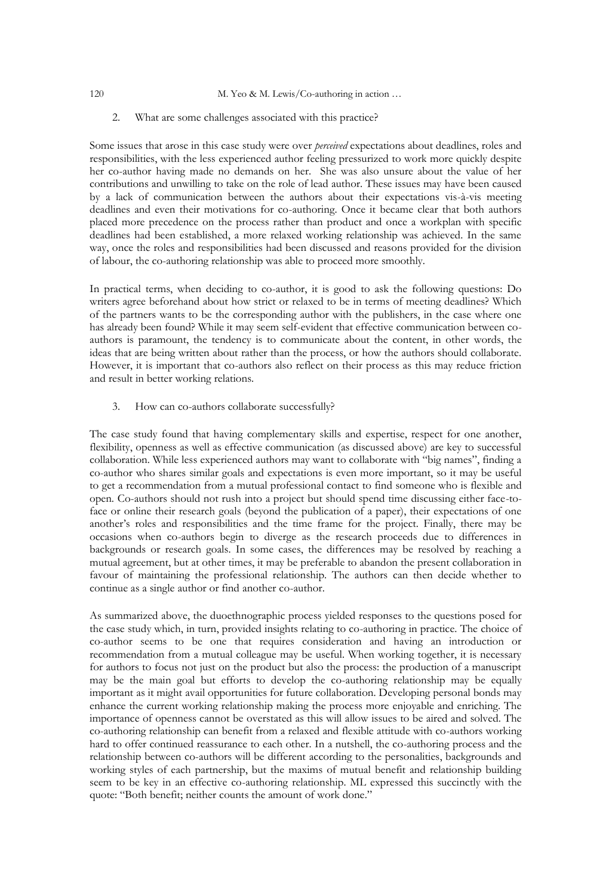2. What are some challenges associated with this practice?

Some issues that arose in this case study were over *perceived* expectations about deadlines, roles and responsibilities, with the less experienced author feeling pressurized to work more quickly despite her co-author having made no demands on her. She was also unsure about the value of her contributions and unwilling to take on the role of lead author. These issues may have been caused by a lack of communication between the authors about their expectations vis-à-vis meeting deadlines and even their motivations for co-authoring. Once it became clear that both authors placed more precedence on the process rather than product and once a workplan with specific deadlines had been established, a more relaxed working relationship was achieved. In the same way, once the roles and responsibilities had been discussed and reasons provided for the division of labour, the co-authoring relationship was able to proceed more smoothly.

In practical terms, when deciding to co-author, it is good to ask the following questions: Do writers agree beforehand about how strict or relaxed to be in terms of meeting deadlines? Which of the partners wants to be the corresponding author with the publishers, in the case where one has already been found? While it may seem self-evident that effective communication between coauthors is paramount, the tendency is to communicate about the content, in other words, the ideas that are being written about rather than the process, or how the authors should collaborate. However, it is important that co-authors also reflect on their process as this may reduce friction and result in better working relations.

3. How can co-authors collaborate successfully?

The case study found that having complementary skills and expertise, respect for one another, flexibility, openness as well as effective communication (as discussed above) are key to successful collaboration. While less experienced authors may want to collaborate with "big names", finding a co-author who shares similar goals and expectations is even more important, so it may be useful to get a recommendation from a mutual professional contact to find someone who is flexible and open. Co-authors should not rush into a project but should spend time discussing either face-toface or online their research goals (beyond the publication of a paper), their expectations of one another's roles and responsibilities and the time frame for the project. Finally, there may be occasions when co-authors begin to diverge as the research proceeds due to differences in backgrounds or research goals. In some cases, the differences may be resolved by reaching a mutual agreement, but at other times, it may be preferable to abandon the present collaboration in favour of maintaining the professional relationship. The authors can then decide whether to continue as a single author or find another co-author.

As summarized above, the duoethnographic process yielded responses to the questions posed for the case study which, in turn, provided insights relating to co-authoring in practice. The choice of co-author seems to be one that requires consideration and having an introduction or recommendation from a mutual colleague may be useful. When working together, it is necessary for authors to focus not just on the product but also the process: the production of a manuscript may be the main goal but efforts to develop the co-authoring relationship may be equally important as it might avail opportunities for future collaboration. Developing personal bonds may enhance the current working relationship making the process more enjoyable and enriching. The importance of openness cannot be overstated as this will allow issues to be aired and solved. The co-authoring relationship can benefit from a relaxed and flexible attitude with co-authors working hard to offer continued reassurance to each other. In a nutshell, the co-authoring process and the relationship between co-authors will be different according to the personalities, backgrounds and working styles of each partnership, but the maxims of mutual benefit and relationship building seem to be key in an effective co-authoring relationship. ML expressed this succinctly with the quote: "Both benefit; neither counts the amount of work done."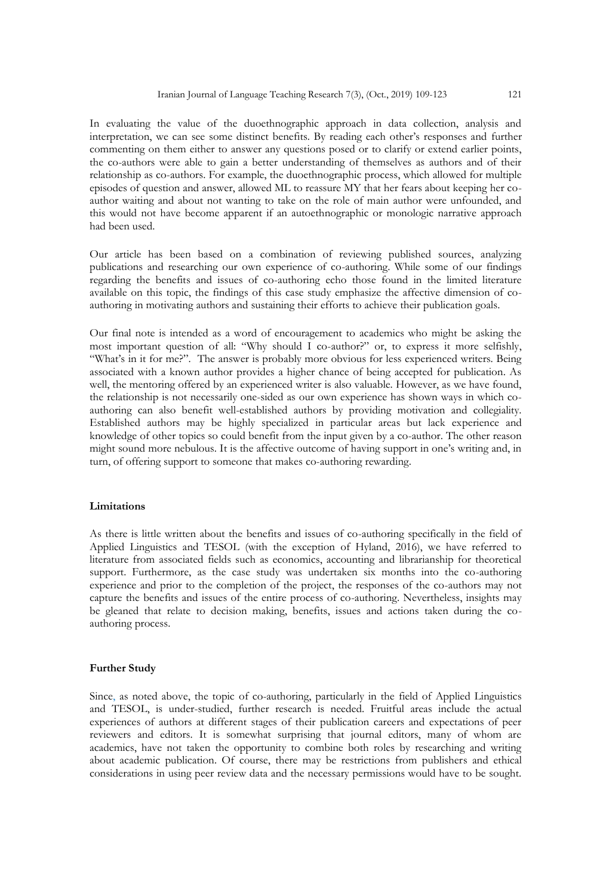In evaluating the value of the duoethnographic approach in data collection, analysis and interpretation, we can see some distinct benefits. By reading each other's responses and further commenting on them either to answer any questions posed or to clarify or extend earlier points, the co-authors were able to gain a better understanding of themselves as authors and of their relationship as co-authors. For example, the duoethnographic process, which allowed for multiple episodes of question and answer, allowed ML to reassure MY that her fears about keeping her coauthor waiting and about not wanting to take on the role of main author were unfounded, and this would not have become apparent if an autoethnographic or monologic narrative approach had been used.

Our article has been based on a combination of reviewing published sources, analyzing publications and researching our own experience of co-authoring. While some of our findings regarding the benefits and issues of co-authoring echo those found in the limited literature available on this topic, the findings of this case study emphasize the affective dimension of coauthoring in motivating authors and sustaining their efforts to achieve their publication goals.

Our final note is intended as a word of encouragement to academics who might be asking the most important question of all: "Why should  $\overline{I}$  co-author?" or, to express it more selfishly, "What's in it for me?". The answer is probably more obvious for less experienced writers. Being associated with a known author provides a higher chance of being accepted for publication. As well, the mentoring offered by an experienced writer is also valuable. However, as we have found, the relationship is not necessarily one-sided as our own experience has shown ways in which coauthoring can also benefit well-established authors by providing motivation and collegiality. Established authors may be highly specialized in particular areas but lack experience and knowledge of other topics so could benefit from the input given by a co-author. The other reason might sound more nebulous. It is the affective outcome of having support in one's writing and, in turn, of offering support to someone that makes co-authoring rewarding.

# **Limitations**

As there is little written about the benefits and issues of co-authoring specifically in the field of Applied Linguistics and TESOL (with the exception of Hyland, 2016), we have referred to literature from associated fields such as economics, accounting and librarianship for theoretical support. Furthermore, as the case study was undertaken six months into the co-authoring experience and prior to the completion of the project, the responses of the co-authors may not capture the benefits and issues of the entire process of co-authoring. Nevertheless, insights may be gleaned that relate to decision making, benefits, issues and actions taken during the coauthoring process.

#### **Further Study**

Since, as noted above, the topic of co-authoring, particularly in the field of Applied Linguistics and TESOL, is under-studied, further research is needed. Fruitful areas include the actual experiences of authors at different stages of their publication careers and expectations of peer reviewers and editors. It is somewhat surprising that journal editors, many of whom are academics, have not taken the opportunity to combine both roles by researching and writing about academic publication. Of course, there may be restrictions from publishers and ethical considerations in using peer review data and the necessary permissions would have to be sought.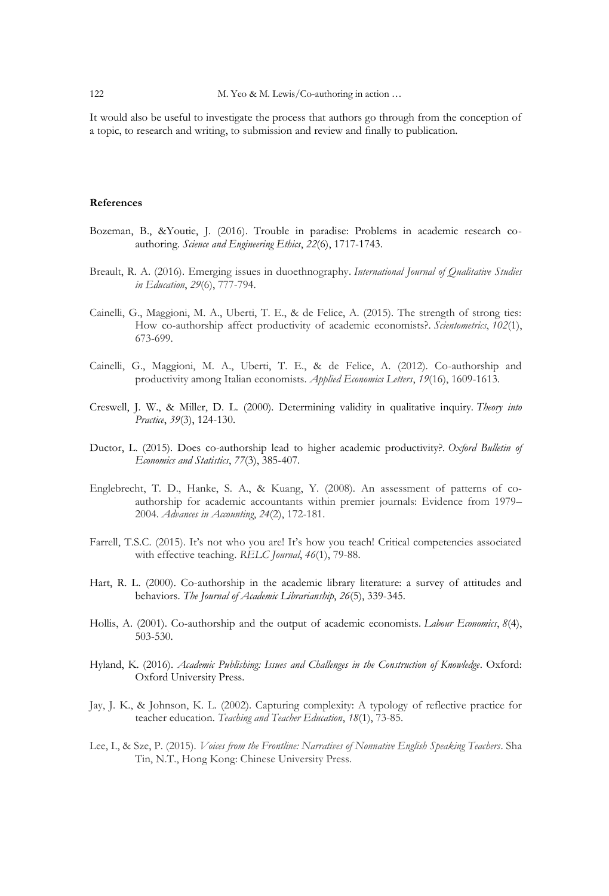It would also be useful to investigate the process that authors go through from the conception of a topic, to research and writing, to submission and review and finally to publication.

#### **References**

- Bozeman, B., &Youtie, J. (2016). Trouble in paradise: Problems in academic research coauthoring. *Science and Engineering Ethics*, *22*(6), 1717-1743.
- Breault, R. A. (2016). Emerging issues in duoethnography. *International Journal of Qualitative Studies in Education*, *29*(6), 777-794.
- Cainelli, G., Maggioni, M. A., Uberti, T. E., & de Felice, A. (2015). The strength of strong ties: How co-authorship affect productivity of academic economists?. *Scientometrics*, *102*(1), 673-699.
- Cainelli, G., Maggioni, M. A., Uberti, T. E., & de Felice, A. (2012). Co-authorship and productivity among Italian economists. *Applied Economics Letters*, *19*(16), 1609-1613.
- Creswell, J. W., & Miller, D. L. (2000). Determining validity in qualitative inquiry. *Theory into Practice*, *39*(3), 124-130.
- Ductor, L. (2015). Does co-authorship lead to higher academic productivity?. *Oxford Bulletin of Economics and Statistics*, *77*(3), 385-407.
- Englebrecht, T. D., Hanke, S. A., & Kuang, Y. (2008). An assessment of patterns of coauthorship for academic accountants within premier journals: Evidence from 1979– 2004. *Advances in Accounting*, *24*(2), 172-181.
- Farrell, T.S.C. (2015). It's not who you are! It's how you teach! Critical competencies associated with effective teaching. *RELC Journal*, *46*(1), 79-88.
- Hart, R. L. (2000). Co-authorship in the academic library literature: a survey of attitudes and behaviors. *The Journal of Academic Librarianship*, *26*(5), 339-345.
- Hollis, A. (2001). Co-authorship and the output of academic economists. *Labour Economics*, *8*(4), 503-530.
- Hyland, K. (2016). *Academic Publishing: Issues and Challenges in the Construction of Knowledge*. Oxford: Oxford University Press.
- Jay, J. K., & Johnson, K. L. (2002). Capturing complexity: A typology of reflective practice for teacher education. *Teaching and Teacher Education*, *18*(1), 73-85.
- Lee, I., & Sze, P. (2015). *Voices from the Frontline: Narratives of Nonnative English Speaking Teachers*. Sha Tin, N.T., Hong Kong: Chinese University Press.